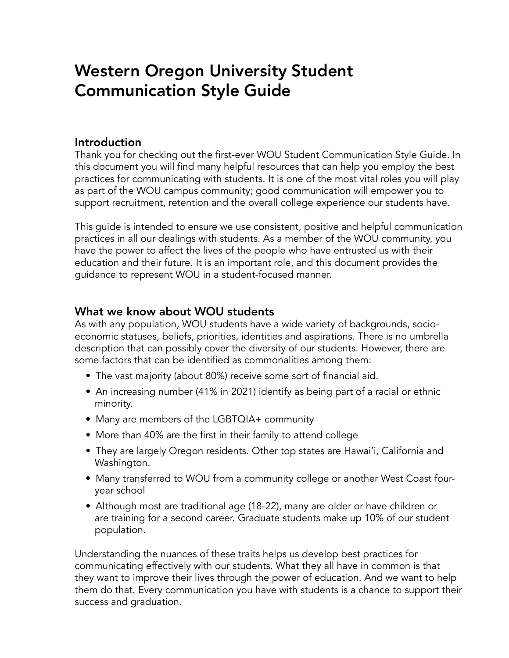# Western Oregon University Student Communication Style Guide

#### **Introduction**

Thank you for checking out the first-ever WOU Student Communication Style Guide. In this document you will find many helpful resources that can help you employ the best practices for communicating with students. It is one of the most vital roles you will play as part of the WOU campus community; good communication will empower you to support recruitment, retention and the overall college experience our students have.

This guide is intended to ensure we use consistent, positive and helpful communication practices in all our dealings with students. As a member of the WOU community, you have the power to affect the lives of the people who have entrusted us with their education and their future. It is an important role, and this document provides the guidance to represent WOU in a student-focused manner.

## What we know about WOU students

As with any population, WOU students have a wide variety of backgrounds, socioeconomic statuses, beliefs, priorities, identities and aspirations. There is no umbrella description that can possibly cover the diversity of our students. However, there are some factors that can be identified as commonalities among them:

- The vast majority (about 80%) receive some sort of financial aid.
- An increasing number (41% in 2021) identify as being part of a racial or ethnic minority.
- Many are members of the LGBTQIA+ community
- More than 40% are the first in their family to attend college
- They are largely Oregon residents. Other top states are Hawai'i, California and Washington.
- Many transferred to WOU from a community college or another West Coast fouryear school
- Although most are traditional age (18-22), many are older or have children or are training for a second career. Graduate students make up 10% of our student population.

Understanding the nuances of these traits helps us develop best practices for communicating effectively with our students. What they all have in common is that they want to improve their lives through the power of education. And we want to help them do that. Every communication you have with students is a chance to support their success and graduation.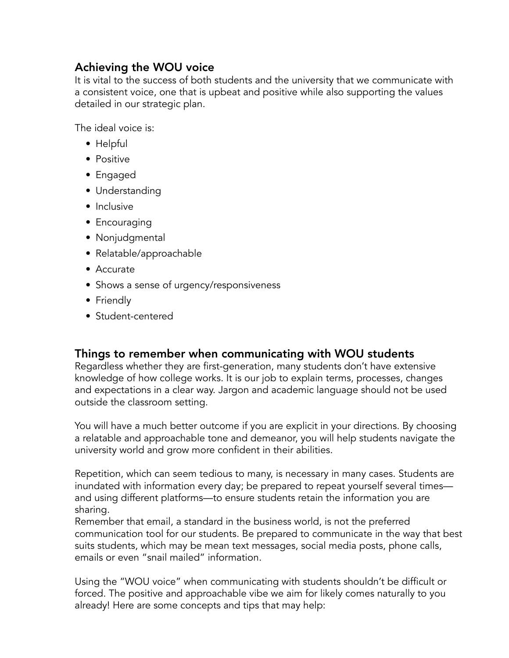# Achieving the WOU voice

It is vital to the success of both students and the university that we communicate with a consistent voice, one that is upbeat and positive while also supporting the values detailed in our strategic plan.

The ideal voice is:

- Helpful
- Positive
- Engaged
- Understanding
- Inclusive
- Encouraging
- Nonjudgmental
- Relatable/approachable
- Accurate
- Shows a sense of urgency/responsiveness
- Friendly
- Student-centered

#### Things to remember when communicating with WOU students

Regardless whether they are first-generation, many students don't have extensive knowledge of how college works. It is our job to explain terms, processes, changes and expectations in a clear way. Jargon and academic language should not be used outside the classroom setting.

You will have a much better outcome if you are explicit in your directions. By choosing a relatable and approachable tone and demeanor, you will help students navigate the university world and grow more confident in their abilities.

Repetition, which can seem tedious to many, is necessary in many cases. Students are inundated with information every day; be prepared to repeat yourself several times and using different platforms—to ensure students retain the information you are sharing.

Remember that email, a standard in the business world, is not the preferred communication tool for our students. Be prepared to communicate in the way that best suits students, which may be mean text messages, social media posts, phone calls, emails or even "snail mailed" information.

Using the "WOU voice" when communicating with students shouldn't be difficult or forced. The positive and approachable vibe we aim for likely comes naturally to you already! Here are some concepts and tips that may help: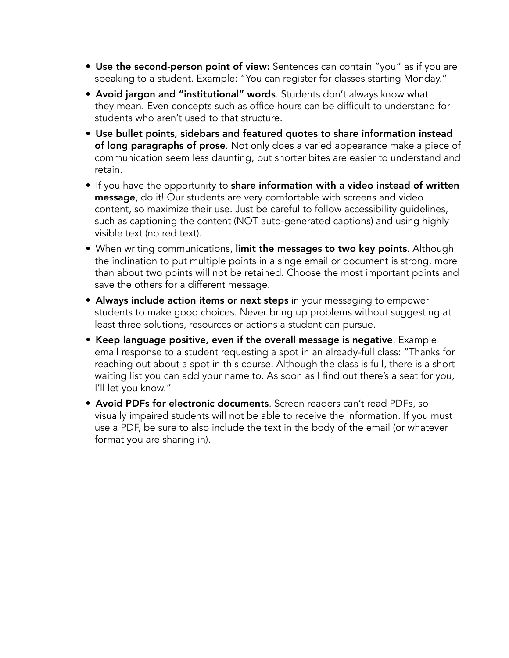- Use the second-person point of view: Sentences can contain "you" as if you are speaking to a student. Example: "You can register for classes starting Monday."
- Avoid jargon and "institutional" words. Students don't always know what they mean. Even concepts such as office hours can be difficult to understand for students who aren't used to that structure.
- Use bullet points, sidebars and featured quotes to share information instead of long paragraphs of prose. Not only does a varied appearance make a piece of communication seem less daunting, but shorter bites are easier to understand and retain.
- If you have the opportunity to share information with a video instead of written message, do it! Our students are very comfortable with screens and video content, so maximize their use. Just be careful to follow accessibility guidelines, such as captioning the content (NOT auto-generated captions) and using highly visible text (no red text).
- When writing communications, limit the messages to two key points. Although the inclination to put multiple points in a singe email or document is strong, more than about two points will not be retained. Choose the most important points and save the others for a different message.
- Always include action items or next steps in your messaging to empower students to make good choices. Never bring up problems without suggesting at least three solutions, resources or actions a student can pursue.
- Keep language positive, even if the overall message is negative. Example email response to a student requesting a spot in an already-full class: "Thanks for reaching out about a spot in this course. Although the class is full, there is a short waiting list you can add your name to. As soon as I find out there's a seat for you, I'll let you know."
- Avoid PDFs for electronic documents. Screen readers can't read PDFs, so visually impaired students will not be able to receive the information. If you must use a PDF, be sure to also include the text in the body of the email (or whatever format you are sharing in).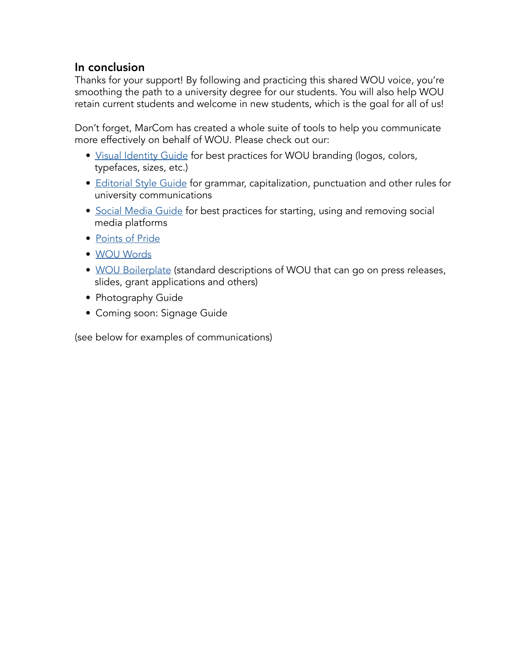## In conclusion

Thanks for your support! By following and practicing this shared WOU voice, you're smoothing the path to a university degree for our students. You will also help WOU retain current students and welcome in new students, which is the goal for all of us!

Don't forget, MarCom has created a whole suite of tools to help you communicate more effectively on behalf of WOU. Please check out our:

- [Visual Identity Guide](https://wou.edu/marcom/files/2017/03/Identity_Guide.pdf) for best practices for WOU branding (logos, colors, typefaces, sizes, etc.)
- [Editorial Style Guide](https://wou.edu/marcom/publications/editorial-style-guide/) for grammar, capitalization, punctuation and other rules for university communications
- [Social Media Guide](https://wou.edu/marcom/social-media/guidelines/) for best practices for starting, using and removing social media platforms
- [Points of Pride](https://wou.edu/marcom/publications/points-of-pride/)
- [WOU Words](https://wou.edu/marcom/publications/wou-words/)
- [WOU Boilerplate](https://wou.edu/marcom/publications/boilerplate/) (standard descriptions of WOU that can go on press releases, slides, grant applications and others)
- Photography Guide
- Coming soon: Signage Guide

(see below for examples of communications)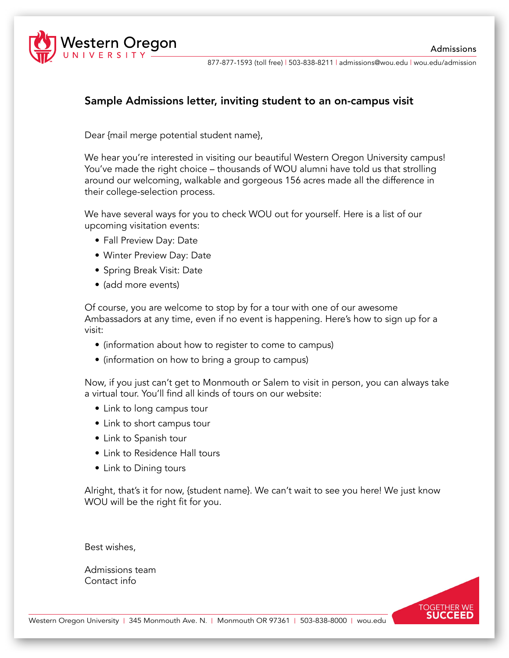

877-877-1593 (toll free) | 503-838-8211 | admissions@wou.edu | wou.edu/admission

#### Sample Admissions letter, inviting student to an on-campus visit

Dear {mail merge potential student name},

We hear you're interested in visiting our beautiful Western Oregon University campus! You've made the right choice – thousands of WOU alumni have told us that strolling around our welcoming, walkable and gorgeous 156 acres made all the difference in their college-selection process.

We have several ways for you to check WOU out for yourself. Here is a list of our upcoming visitation events:

- Fall Preview Day: Date
- Winter Preview Day: Date
- Spring Break Visit: Date
- (add more events)

Of course, you are welcome to stop by for a tour with one of our awesome Ambassadors at any time, even if no event is happening. Here's how to sign up for a visit:

- (information about how to register to come to campus)
- (information on how to bring a group to campus)

Now, if you just can't get to Monmouth or Salem to visit in person, you can always take a virtual tour. You'll find all kinds of tours on our website:

- Link to long campus tour
- Link to short campus tour
- Link to Spanish tour
- Link to Residence Hall tours
- Link to Dining tours

Alright, that's it for now, {student name}. We can't wait to see you here! We just know WOU will be the right fit for you.

Best wishes,

Admissions team Contact info

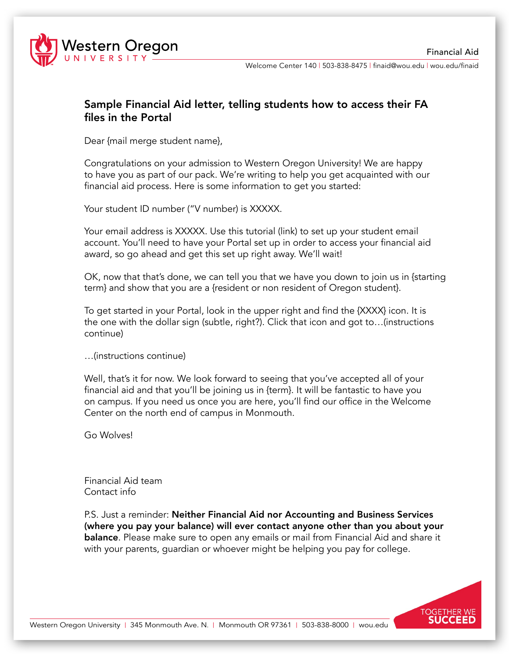

Welcome Center 140 | 503-838-8475 | finaid@wou.edu | wou.edu/finaid

#### Sample Financial Aid letter, telling students how to access their FA files in the Portal

Dear {mail merge student name},

Congratulations on your admission to Western Oregon University! We are happy to have you as part of our pack. We're writing to help you get acquainted with our financial aid process. Here is some information to get you started:

Your student ID number ("V number) is XXXXX.

Your email address is XXXXX. Use this tutorial (link) to set up your student email account. You'll need to have your Portal set up in order to access your financial aid award, so go ahead and get this set up right away. We'll wait!

OK, now that that's done, we can tell you that we have you down to join us in {starting term} and show that you are a {resident or non resident of Oregon student}.

To get started in your Portal, look in the upper right and find the {XXXX} icon. It is the one with the dollar sign (subtle, right?). Click that icon and got to…(instructions continue)

…(instructions continue)

Well, that's it for now. We look forward to seeing that you've accepted all of your financial aid and that you'll be joining us in {term}. It will be fantastic to have you on campus. If you need us once you are here, you'll find our office in the Welcome Center on the north end of campus in Monmouth.

Go Wolves!

Financial Aid team Contact info

P.S. Just a reminder: Neither Financial Aid nor Accounting and Business Services (where you pay your balance) will ever contact anyone other than you about your **balance**. Please make sure to open any emails or mail from Financial Aid and share it with your parents, guardian or whoever might be helping you pay for college.